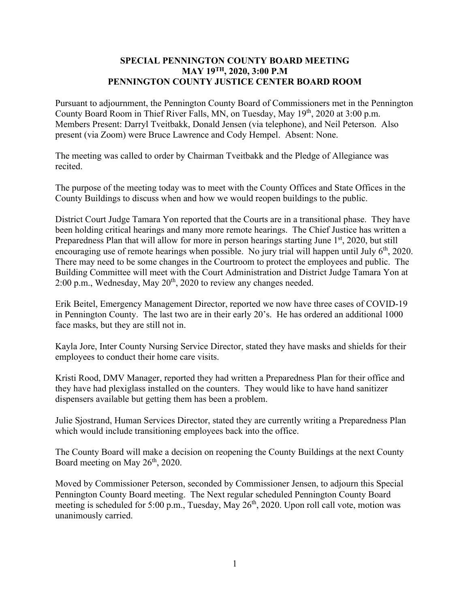## **SPECIAL PENNINGTON COUNTY BOARD MEETING MAY 19TH, 2020, 3:00 P.M PENNINGTON COUNTY JUSTICE CENTER BOARD ROOM**

Pursuant to adjournment, the Pennington County Board of Commissioners met in the Pennington County Board Room in Thief River Falls, MN, on Tuesday, May 19th, 2020 at 3:00 p.m. Members Present: Darryl Tveitbakk, Donald Jensen (via telephone), and Neil Peterson. Also present (via Zoom) were Bruce Lawrence and Cody Hempel. Absent: None.

The meeting was called to order by Chairman Tveitbakk and the Pledge of Allegiance was recited.

The purpose of the meeting today was to meet with the County Offices and State Offices in the County Buildings to discuss when and how we would reopen buildings to the public.

District Court Judge Tamara Yon reported that the Courts are in a transitional phase. They have been holding critical hearings and many more remote hearings. The Chief Justice has written a Preparedness Plan that will allow for more in person hearings starting June 1<sup>st</sup>, 2020, but still encouraging use of remote hearings when possible. No jury trial will happen until July  $6<sup>th</sup>$ , 2020. There may need to be some changes in the Courtroom to protect the employees and public. The Building Committee will meet with the Court Administration and District Judge Tamara Yon at 2:00 p.m., Wednesday, May  $20<sup>th</sup>$ , 2020 to review any changes needed.

Erik Beitel, Emergency Management Director, reported we now have three cases of COVID-19 in Pennington County. The last two are in their early 20's. He has ordered an additional 1000 face masks, but they are still not in.

Kayla Jore, Inter County Nursing Service Director, stated they have masks and shields for their employees to conduct their home care visits.

Kristi Rood, DMV Manager, reported they had written a Preparedness Plan for their office and they have had plexiglass installed on the counters. They would like to have hand sanitizer dispensers available but getting them has been a problem.

Julie Sjostrand, Human Services Director, stated they are currently writing a Preparedness Plan which would include transitioning employees back into the office.

The County Board will make a decision on reopening the County Buildings at the next County Board meeting on May 26<sup>th</sup>, 2020.

Moved by Commissioner Peterson, seconded by Commissioner Jensen, to adjourn this Special Pennington County Board meeting. The Next regular scheduled Pennington County Board meeting is scheduled for 5:00 p.m., Tuesday, May 26<sup>th</sup>, 2020. Upon roll call vote, motion was unanimously carried.